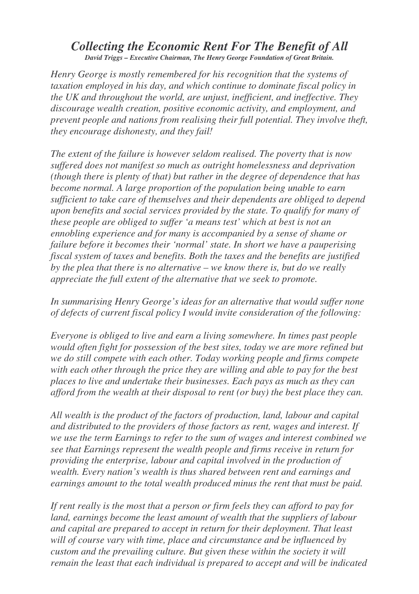## *Collecting the Economic Rent For The Benefit of All David Triggs – Executive Chairman, The Henry George Foundation of Great Britain.*

*Henry George is mostly remembered for his recognition that the systems of taxation employed in his day, and which continue to dominate fiscal policy in the UK and throughout the world, are unjust, inefficient, and ineffective. They discourage wealth creation, positive economic activity, and employment, and prevent people and nations from realising their full potential. They involve theft, they encourage dishonesty, and they fail!*

*The extent of the failure is however seldom realised. The poverty that is now suffered does not manifest so much as outright homelessness and deprivation (though there is plenty of that) but rather in the degree of dependence that has become normal. A large proportion of the population being unable to earn sufficient to take care of themselves and their dependents are obliged to depend upon benefits and social services provided by the state. To qualify for many of these people are obliged to suffer 'a means test' which at best is not an ennobling experience and for many is accompanied by a sense of shame or failure before it becomes their 'normal' state. In short we have a pauperising fiscal system of taxes and benefits. Both the taxes and the benefits are justified by the plea that there is no alternative – we know there is, but do we really appreciate the full extent of the alternative that we seek to promote.*

*In summarising Henry George's ideas for an alternative that would suffer none of defects of current fiscal policy I would invite consideration of the following:*

*Everyone is obliged to live and earn a living somewhere. In times past people would often fight for possession of the best sites, today we are more refined but we do still compete with each other. Today working people and firms compete with each other through the price they are willing and able to pay for the best places to live and undertake their businesses. Each pays as much as they can afford from the wealth at their disposal to rent (or buy) the best place they can.*

*All wealth is the product of the factors of production, land, labour and capital and distributed to the providers of those factors as rent, wages and interest. If we use the term Earnings to refer to the sum of wages and interest combined we see that Earnings represent the wealth people and firms receive in return for providing the enterprise, labour and capital involved in the production of wealth. Every nation's wealth is thus shared between rent and earnings and earnings amount to the total wealth produced minus the rent that must be paid.*

*If rent really is the most that a person or firm feels they can afford to pay for land, earnings become the least amount of wealth that the suppliers of labour and capital are prepared to accept in return for their deployment. That least will of course vary with time, place and circumstance and be influenced by custom and the prevailing culture. But given these within the society it will remain the least that each individual is prepared to accept and will be indicated*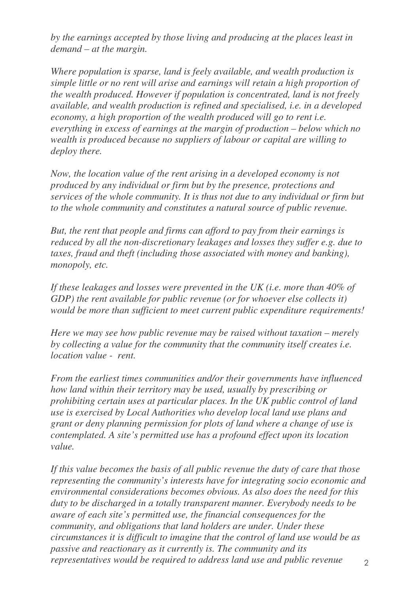*by the earnings accepted by those living and producing at the places least in demand – at the margin.*

*Where population is sparse, land is feely available, and wealth production is simple little or no rent will arise and earnings will retain a high proportion of the wealth produced. However if population is concentrated, land is not freely available, and wealth production is refined and specialised, i.e. in a developed economy, a high proportion of the wealth produced will go to rent i.e. everything in excess of earnings at the margin of production – below which no wealth is produced because no suppliers of labour or capital are willing to deploy there.*

*Now, the location value of the rent arising in a developed economy is not produced by any individual or firm but by the presence, protections and services of the whole community. It is thus not due to any individual or firm but to the whole community and constitutes a natural source of public revenue.*

*But, the rent that people and firms can afford to pay from their earnings is reduced by all the non-discretionary leakages and losses they suffer e.g. due to taxes, fraud and theft (including those associated with money and banking), monopoly, etc.*

*If these leakages and losses were prevented in the UK (i.e. more than 40% of GDP) the rent available for public revenue (or for whoever else collects it) would be more than sufficient to meet current public expenditure requirements!*

*Here we may see how public revenue may be raised without taxation – merely by collecting a value for the community that the community itself creates i.e. location value - rent.*

*From the earliest times communities and/or their governments have influenced how land within their territory may be used, usually by prescribing or prohibiting certain uses at particular places. In the UK public control of land use is exercised by Local Authorities who develop local land use plans and grant or deny planning permission for plots of land where a change of use is contemplated. A site's permitted use has a profound effect upon its location value.*

*If this value becomes the basis of all public revenue the duty of care that those representing the community's interests have for integrating socio economic and environmental considerations becomes obvious. As also does the need for this duty to be discharged in a totally transparent manner. Everybody needs to be aware of each site's permitted use, the financial consequences for the community, and obligations that land holders are under. Under these circumstances it is difficult to imagine that the control of land use would be as passive and reactionary as it currently is. The community and its representatives would be required to address land use and public revenue*